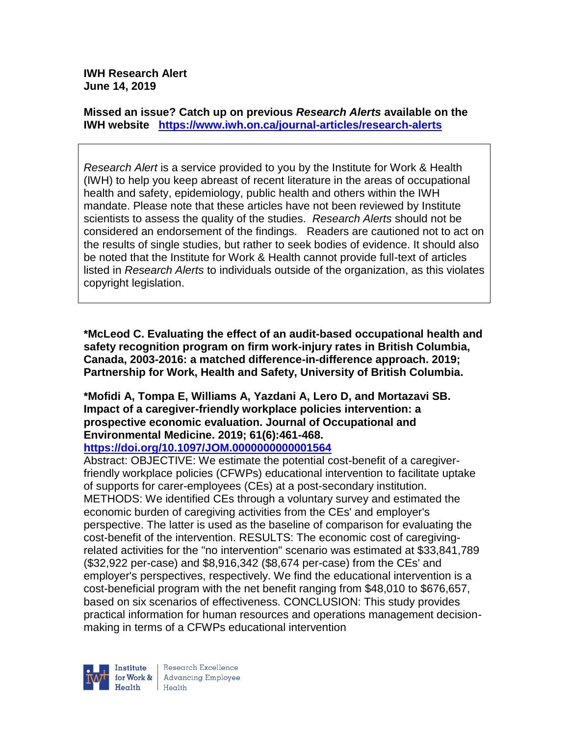**IWH Research Alert June 14, 2019**

**Missed an issue? Catch up on previous** *Research Alerts* **available on the [IWH website](http://www.iwh.on.ca/research-alerts) <https://www.iwh.on.ca/journal-articles/research-alerts>**

*Research Alert* is a service provided to you by the Institute for Work & Health (IWH) to help you keep abreast of recent literature in the areas of occupational health and safety, epidemiology, public health and others within the IWH mandate. Please note that these articles have not been reviewed by Institute scientists to assess the quality of the studies. *Research Alerts* should not be considered an endorsement of the findings. Readers are cautioned not to act on the results of single studies, but rather to seek bodies of evidence. It should also be noted that the Institute for Work & Health cannot provide full-text of articles listed in *Research Alerts* to individuals outside of the organization, as this violates copyright legislation.

**\*McLeod C. Evaluating the effect of an audit-based occupational health and safety recognition program on firm work-injury rates in British Columbia, Canada, 2003-2016: a matched difference-in-difference approach. 2019; Partnership for Work, Health and Safety, University of British Columbia.**

# **\*Mofidi A, Tompa E, Williams A, Yazdani A, Lero D, and Mortazavi SB. Impact of a caregiver-friendly workplace policies intervention: a prospective economic evaluation. Journal of Occupational and Environmental Medicine. 2019; 61(6):461-468.**

## **<https://doi.org/10.1097/JOM.0000000000001564>**

Abstract: OBJECTIVE: We estimate the potential cost-benefit of a caregiverfriendly workplace policies (CFWPs) educational intervention to facilitate uptake of supports for carer-employees (CEs) at a post-secondary institution. METHODS: We identified CEs through a voluntary survey and estimated the economic burden of caregiving activities from the CEs' and employer's perspective. The latter is used as the baseline of comparison for evaluating the cost-benefit of the intervention. RESULTS: The economic cost of caregivingrelated activities for the "no intervention" scenario was estimated at \$33,841,789 (\$32,922 per-case) and \$8,916,342 (\$8,674 per-case) from the CEs' and employer's perspectives, respectively. We find the educational intervention is a cost-beneficial program with the net benefit ranging from \$48,010 to \$676,657, based on six scenarios of effectiveness. CONCLUSION: This study provides practical information for human resources and operations management decisionmaking in terms of a CFWPs educational intervention

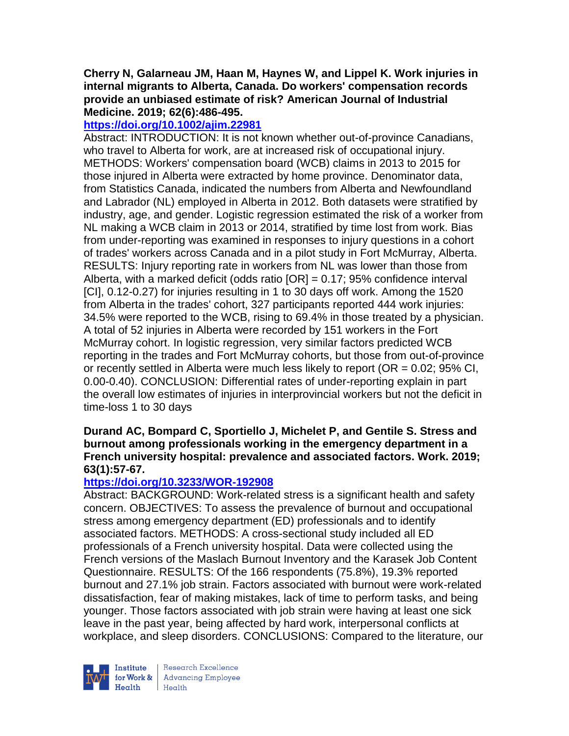#### **Cherry N, Galarneau JM, Haan M, Haynes W, and Lippel K. Work injuries in internal migrants to Alberta, Canada. Do workers' compensation records provide an unbiased estimate of risk? American Journal of Industrial Medicine. 2019; 62(6):486-495.**

# **<https://doi.org/10.1002/ajim.22981>**

Abstract: INTRODUCTION: It is not known whether out-of-province Canadians, who travel to Alberta for work, are at increased risk of occupational injury. METHODS: Workers' compensation board (WCB) claims in 2013 to 2015 for those injured in Alberta were extracted by home province. Denominator data, from Statistics Canada, indicated the numbers from Alberta and Newfoundland and Labrador (NL) employed in Alberta in 2012. Both datasets were stratified by industry, age, and gender. Logistic regression estimated the risk of a worker from NL making a WCB claim in 2013 or 2014, stratified by time lost from work. Bias from under-reporting was examined in responses to injury questions in a cohort of trades' workers across Canada and in a pilot study in Fort McMurray, Alberta. RESULTS: Injury reporting rate in workers from NL was lower than those from Alberta, with a marked deficit (odds ratio [OR] = 0.17; 95% confidence interval [CI], 0.12-0.27) for injuries resulting in 1 to 30 days off work. Among the 1520 from Alberta in the trades' cohort, 327 participants reported 444 work injuries: 34.5% were reported to the WCB, rising to 69.4% in those treated by a physician. A total of 52 injuries in Alberta were recorded by 151 workers in the Fort McMurray cohort. In logistic regression, very similar factors predicted WCB reporting in the trades and Fort McMurray cohorts, but those from out-of-province or recently settled in Alberta were much less likely to report ( $OR = 0.02$ ; 95% CI, 0.00-0.40). CONCLUSION: Differential rates of under-reporting explain in part the overall low estimates of injuries in interprovincial workers but not the deficit in time-loss 1 to 30 days

### **Durand AC, Bompard C, Sportiello J, Michelet P, and Gentile S. Stress and burnout among professionals working in the emergency department in a French university hospital: prevalence and associated factors. Work. 2019; 63(1):57-67.**

## **<https://doi.org/10.3233/WOR-192908>**

Abstract: BACKGROUND: Work-related stress is a significant health and safety concern. OBJECTIVES: To assess the prevalence of burnout and occupational stress among emergency department (ED) professionals and to identify associated factors. METHODS: A cross-sectional study included all ED professionals of a French university hospital. Data were collected using the French versions of the Maslach Burnout Inventory and the Karasek Job Content Questionnaire. RESULTS: Of the 166 respondents (75.8%), 19.3% reported burnout and 27.1% job strain. Factors associated with burnout were work-related dissatisfaction, fear of making mistakes, lack of time to perform tasks, and being younger. Those factors associated with job strain were having at least one sick leave in the past year, being affected by hard work, interpersonal conflicts at workplace, and sleep disorders. CONCLUSIONS: Compared to the literature, our



Research Excellence for Work & | Advancing Employee Health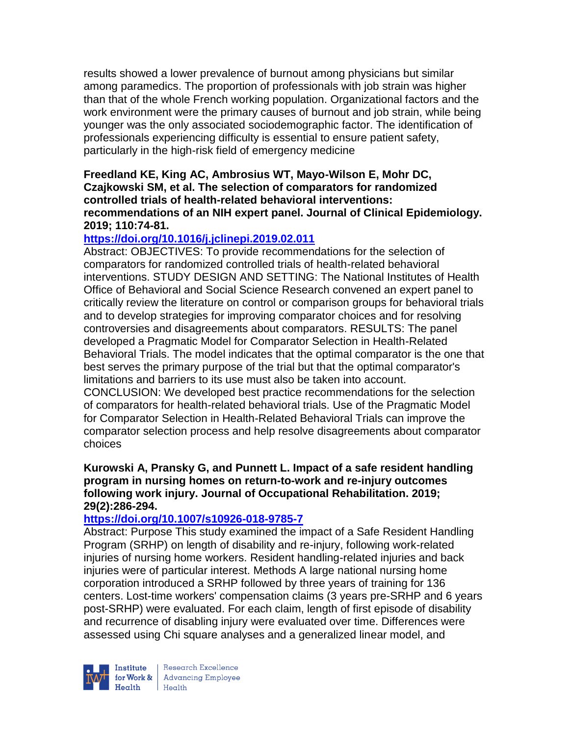results showed a lower prevalence of burnout among physicians but similar among paramedics. The proportion of professionals with job strain was higher than that of the whole French working population. Organizational factors and the work environment were the primary causes of burnout and job strain, while being younger was the only associated sociodemographic factor. The identification of professionals experiencing difficulty is essential to ensure patient safety, particularly in the high-risk field of emergency medicine

#### **Freedland KE, King AC, Ambrosius WT, Mayo-Wilson E, Mohr DC, Czajkowski SM, et al. The selection of comparators for randomized controlled trials of health-related behavioral interventions: recommendations of an NIH expert panel. Journal of Clinical Epidemiology. 2019; 110:74-81.**

## **<https://doi.org/10.1016/j.jclinepi.2019.02.011>**

Abstract: OBJECTIVES: To provide recommendations for the selection of comparators for randomized controlled trials of health-related behavioral interventions. STUDY DESIGN AND SETTING: The National Institutes of Health Office of Behavioral and Social Science Research convened an expert panel to critically review the literature on control or comparison groups for behavioral trials and to develop strategies for improving comparator choices and for resolving controversies and disagreements about comparators. RESULTS: The panel developed a Pragmatic Model for Comparator Selection in Health-Related Behavioral Trials. The model indicates that the optimal comparator is the one that best serves the primary purpose of the trial but that the optimal comparator's limitations and barriers to its use must also be taken into account. CONCLUSION: We developed best practice recommendations for the selection of comparators for health-related behavioral trials. Use of the Pragmatic Model for Comparator Selection in Health-Related Behavioral Trials can improve the comparator selection process and help resolve disagreements about comparator choices

#### **Kurowski A, Pransky G, and Punnett L. Impact of a safe resident handling program in nursing homes on return-to-work and re-injury outcomes following work injury. Journal of Occupational Rehabilitation. 2019; 29(2):286-294.**

#### **<https://doi.org/10.1007/s10926-018-9785-7>**

Abstract: Purpose This study examined the impact of a Safe Resident Handling Program (SRHP) on length of disability and re-injury, following work-related injuries of nursing home workers. Resident handling-related injuries and back injuries were of particular interest. Methods A large national nursing home corporation introduced a SRHP followed by three years of training for 136 centers. Lost-time workers' compensation claims (3 years pre-SRHP and 6 years post-SRHP) were evaluated. For each claim, length of first episode of disability and recurrence of disabling injury were evaluated over time. Differences were assessed using Chi square analyses and a generalized linear model, and



Research Excellence Finantium Research Excellence<br>
Finantium Research Employee<br>
Realth Health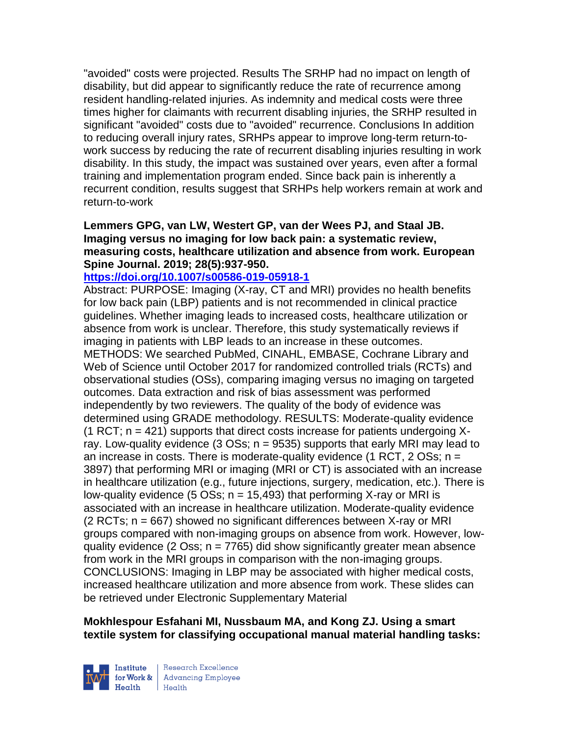"avoided" costs were projected. Results The SRHP had no impact on length of disability, but did appear to significantly reduce the rate of recurrence among resident handling-related injuries. As indemnity and medical costs were three times higher for claimants with recurrent disabling injuries, the SRHP resulted in significant "avoided" costs due to "avoided" recurrence. Conclusions In addition to reducing overall injury rates, SRHPs appear to improve long-term return-towork success by reducing the rate of recurrent disabling injuries resulting in work disability. In this study, the impact was sustained over years, even after a formal training and implementation program ended. Since back pain is inherently a recurrent condition, results suggest that SRHPs help workers remain at work and return-to-work

### **Lemmers GPG, van LW, Westert GP, van der Wees PJ, and Staal JB. Imaging versus no imaging for low back pain: a systematic review, measuring costs, healthcare utilization and absence from work. European Spine Journal. 2019; 28(5):937-950.**

#### **<https://doi.org/10.1007/s00586-019-05918-1>**

Abstract: PURPOSE: Imaging (X-ray, CT and MRI) provides no health benefits for low back pain (LBP) patients and is not recommended in clinical practice guidelines. Whether imaging leads to increased costs, healthcare utilization or absence from work is unclear. Therefore, this study systematically reviews if imaging in patients with LBP leads to an increase in these outcomes. METHODS: We searched PubMed, CINAHL, EMBASE, Cochrane Library and Web of Science until October 2017 for randomized controlled trials (RCTs) and observational studies (OSs), comparing imaging versus no imaging on targeted outcomes. Data extraction and risk of bias assessment was performed independently by two reviewers. The quality of the body of evidence was determined using GRADE methodology. RESULTS: Moderate-quality evidence  $(1$  RCT; n = 421) supports that direct costs increase for patients undergoing Xray. Low-quality evidence (3 OSs;  $n = 9535$ ) supports that early MRI may lead to an increase in costs. There is moderate-quality evidence (1 RCT, 2 OSs;  $n =$ 3897) that performing MRI or imaging (MRI or CT) is associated with an increase in healthcare utilization (e.g., future injections, surgery, medication, etc.). There is low-quality evidence (5 OSs;  $n = 15,493$ ) that performing X-ray or MRI is associated with an increase in healthcare utilization. Moderate-quality evidence (2 RCTs; n = 667) showed no significant differences between X-ray or MRI groups compared with non-imaging groups on absence from work. However, lowquality evidence (2 Oss;  $n = 7765$ ) did show significantly greater mean absence from work in the MRI groups in comparison with the non-imaging groups. CONCLUSIONS: Imaging in LBP may be associated with higher medical costs, increased healthcare utilization and more absence from work. These slides can be retrieved under Electronic Supplementary Material

#### **Mokhlespour Esfahani MI, Nussbaum MA, and Kong ZJ. Using a smart textile system for classifying occupational manual material handling tasks:**



Research Excellence for Work & | Advancing Employee  $H_{\text{eath}}$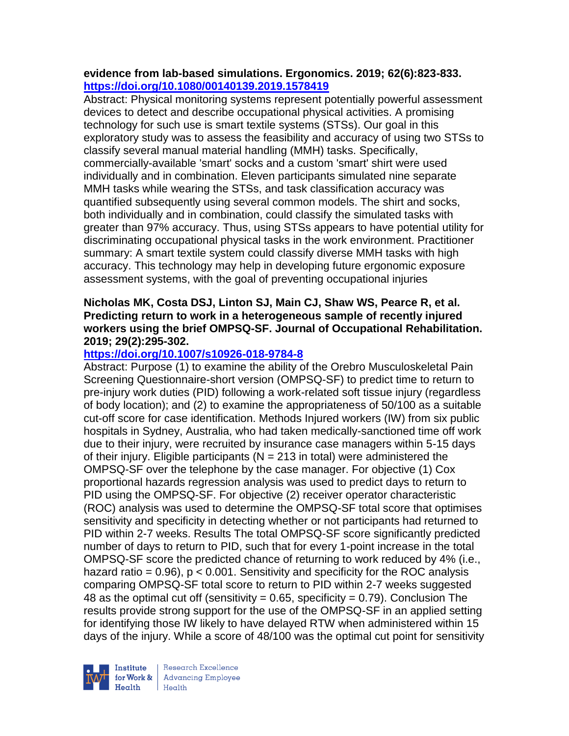#### **evidence from lab-based simulations. Ergonomics. 2019; 62(6):823-833. <https://doi.org/10.1080/00140139.2019.1578419>**

Abstract: Physical monitoring systems represent potentially powerful assessment devices to detect and describe occupational physical activities. A promising technology for such use is smart textile systems (STSs). Our goal in this exploratory study was to assess the feasibility and accuracy of using two STSs to classify several manual material handling (MMH) tasks. Specifically, commercially-available 'smart' socks and a custom 'smart' shirt were used individually and in combination. Eleven participants simulated nine separate MMH tasks while wearing the STSs, and task classification accuracy was quantified subsequently using several common models. The shirt and socks, both individually and in combination, could classify the simulated tasks with greater than 97% accuracy. Thus, using STSs appears to have potential utility for discriminating occupational physical tasks in the work environment. Practitioner summary: A smart textile system could classify diverse MMH tasks with high accuracy. This technology may help in developing future ergonomic exposure assessment systems, with the goal of preventing occupational injuries

#### **Nicholas MK, Costa DSJ, Linton SJ, Main CJ, Shaw WS, Pearce R, et al. Predicting return to work in a heterogeneous sample of recently injured workers using the brief OMPSQ-SF. Journal of Occupational Rehabilitation. 2019; 29(2):295-302.**

## **<https://doi.org/10.1007/s10926-018-9784-8>**

Abstract: Purpose (1) to examine the ability of the Orebro Musculoskeletal Pain Screening Questionnaire-short version (OMPSQ-SF) to predict time to return to pre-injury work duties (PID) following a work-related soft tissue injury (regardless of body location); and (2) to examine the appropriateness of 50/100 as a suitable cut-off score for case identification. Methods Injured workers (IW) from six public hospitals in Sydney, Australia, who had taken medically-sanctioned time off work due to their injury, were recruited by insurance case managers within 5-15 days of their injury. Eligible participants ( $N = 213$  in total) were administered the OMPSQ-SF over the telephone by the case manager. For objective (1) Cox proportional hazards regression analysis was used to predict days to return to PID using the OMPSQ-SF. For objective (2) receiver operator characteristic (ROC) analysis was used to determine the OMPSQ-SF total score that optimises sensitivity and specificity in detecting whether or not participants had returned to PID within 2-7 weeks. Results The total OMPSQ-SF score significantly predicted number of days to return to PID, such that for every 1-point increase in the total OMPSQ-SF score the predicted chance of returning to work reduced by 4% (i.e., hazard ratio =  $0.96$ ),  $p < 0.001$ . Sensitivity and specificity for the ROC analysis comparing OMPSQ-SF total score to return to PID within 2-7 weeks suggested 48 as the optimal cut off (sensitivity =  $0.65$ , specificity =  $0.79$ ). Conclusion The results provide strong support for the use of the OMPSQ-SF in an applied setting for identifying those IW likely to have delayed RTW when administered within 15 days of the injury. While a score of 48/100 was the optimal cut point for sensitivity



Research Excellence for Work & | Advancing Employee Health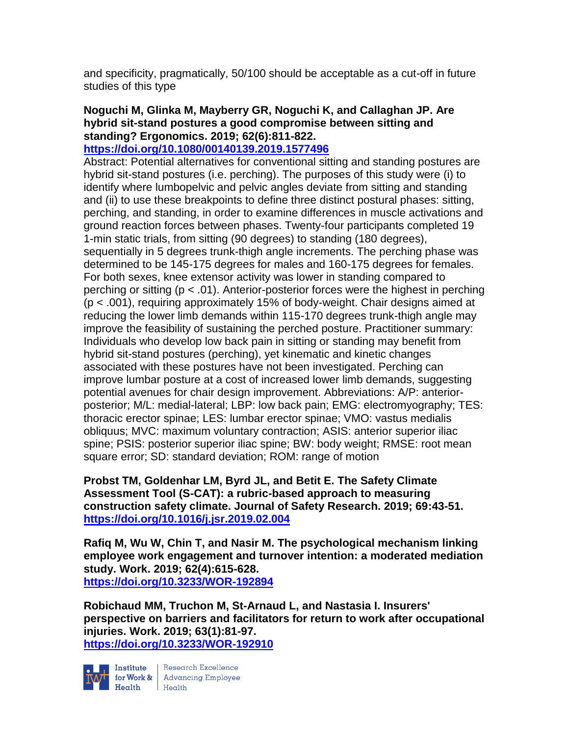and specificity, pragmatically, 50/100 should be acceptable as a cut-off in future studies of this type

# **Noguchi M, Glinka M, Mayberry GR, Noguchi K, and Callaghan JP. Are hybrid sit-stand postures a good compromise between sitting and standing? Ergonomics. 2019; 62(6):811-822.**

### **<https://doi.org/10.1080/00140139.2019.1577496>**

Abstract: Potential alternatives for conventional sitting and standing postures are hybrid sit-stand postures (i.e. perching). The purposes of this study were (i) to identify where lumbopelvic and pelvic angles deviate from sitting and standing and (ii) to use these breakpoints to define three distinct postural phases: sitting, perching, and standing, in order to examine differences in muscle activations and ground reaction forces between phases. Twenty-four participants completed 19 1-min static trials, from sitting (90 degrees) to standing (180 degrees), sequentially in 5 degrees trunk-thigh angle increments. The perching phase was determined to be 145-175 degrees for males and 160-175 degrees for females. For both sexes, knee extensor activity was lower in standing compared to perching or sitting (p < .01). Anterior-posterior forces were the highest in perching (p < .001), requiring approximately 15% of body-weight. Chair designs aimed at reducing the lower limb demands within 115-170 degrees trunk-thigh angle may improve the feasibility of sustaining the perched posture. Practitioner summary: Individuals who develop low back pain in sitting or standing may benefit from hybrid sit-stand postures (perching), yet kinematic and kinetic changes associated with these postures have not been investigated. Perching can improve lumbar posture at a cost of increased lower limb demands, suggesting potential avenues for chair design improvement. Abbreviations: A/P: anteriorposterior; M/L: medial-lateral; LBP: low back pain; EMG: electromyography; TES: thoracic erector spinae; LES: lumbar erector spinae; VMO: vastus medialis obliquus; MVC: maximum voluntary contraction; ASIS: anterior superior iliac spine; PSIS: posterior superior iliac spine; BW: body weight; RMSE: root mean square error; SD: standard deviation; ROM: range of motion

**Probst TM, Goldenhar LM, Byrd JL, and Betit E. The Safety Climate Assessment Tool (S-CAT): a rubric-based approach to measuring construction safety climate. Journal of Safety Research. 2019; 69:43-51. <https://doi.org/10.1016/j.jsr.2019.02.004>** 

**Rafiq M, Wu W, Chin T, and Nasir M. The psychological mechanism linking employee work engagement and turnover intention: a moderated mediation study. Work. 2019; 62(4):615-628. <https://doi.org/10.3233/WOR-192894>** 

**Robichaud MM, Truchon M, St-Arnaud L, and Nastasia I. Insurers' perspective on barriers and facilitators for return to work after occupational injuries. Work. 2019; 63(1):81-97. <https://doi.org/10.3233/WOR-192910>** 



Institute Research Excellence<br>
for Work & Advancing Employee<br>
Health Health  $Heath$  Health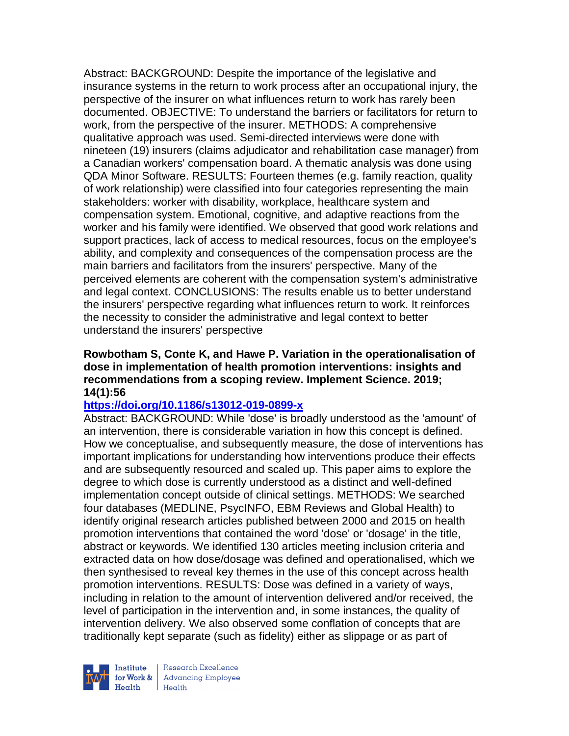Abstract: BACKGROUND: Despite the importance of the legislative and insurance systems in the return to work process after an occupational injury, the perspective of the insurer on what influences return to work has rarely been documented. OBJECTIVE: To understand the barriers or facilitators for return to work, from the perspective of the insurer. METHODS: A comprehensive qualitative approach was used. Semi-directed interviews were done with nineteen (19) insurers (claims adjudicator and rehabilitation case manager) from a Canadian workers' compensation board. A thematic analysis was done using QDA Minor Software. RESULTS: Fourteen themes (e.g. family reaction, quality of work relationship) were classified into four categories representing the main stakeholders: worker with disability, workplace, healthcare system and compensation system. Emotional, cognitive, and adaptive reactions from the worker and his family were identified. We observed that good work relations and support practices, lack of access to medical resources, focus on the employee's ability, and complexity and consequences of the compensation process are the main barriers and facilitators from the insurers' perspective. Many of the perceived elements are coherent with the compensation system's administrative and legal context. CONCLUSIONS: The results enable us to better understand the insurers' perspective regarding what influences return to work. It reinforces the necessity to consider the administrative and legal context to better understand the insurers' perspective

#### **Rowbotham S, Conte K, and Hawe P. Variation in the operationalisation of dose in implementation of health promotion interventions: insights and recommendations from a scoping review. Implement Science. 2019; 14(1):56**

#### **<https://doi.org/10.1186/s13012-019-0899-x>**

Abstract: BACKGROUND: While 'dose' is broadly understood as the 'amount' of an intervention, there is considerable variation in how this concept is defined. How we conceptualise, and subsequently measure, the dose of interventions has important implications for understanding how interventions produce their effects and are subsequently resourced and scaled up. This paper aims to explore the degree to which dose is currently understood as a distinct and well-defined implementation concept outside of clinical settings. METHODS: We searched four databases (MEDLINE, PsycINFO, EBM Reviews and Global Health) to identify original research articles published between 2000 and 2015 on health promotion interventions that contained the word 'dose' or 'dosage' in the title, abstract or keywords. We identified 130 articles meeting inclusion criteria and extracted data on how dose/dosage was defined and operationalised, which we then synthesised to reveal key themes in the use of this concept across health promotion interventions. RESULTS: Dose was defined in a variety of ways, including in relation to the amount of intervention delivered and/or received, the level of participation in the intervention and, in some instances, the quality of intervention delivery. We also observed some conflation of concepts that are traditionally kept separate (such as fidelity) either as slippage or as part of



Research Excellence for Work & | Advancing Employee  $H_{\text{eath}}$